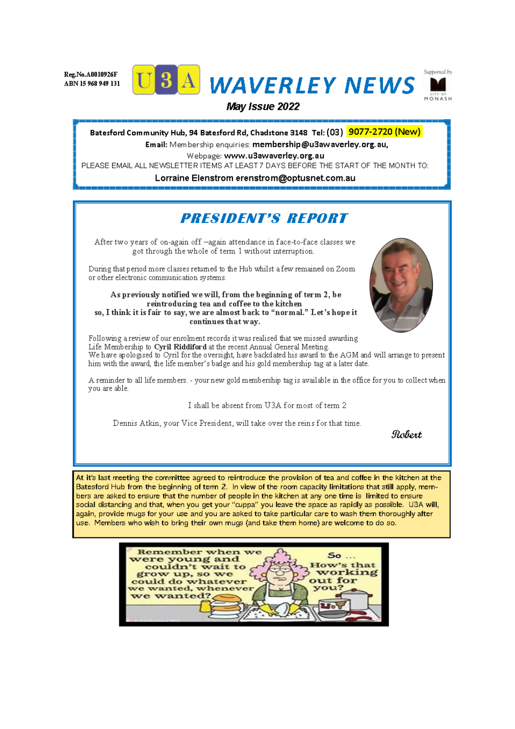Reg.No.A0010926F ABN 15 968 949 131







### May Issue 2022

Batesford Community Hub, 94 Batesford Rd, Chadstone 3148 Tel: (03) 9077-2720 (New) Email: Membership enquiries: membership@u3awaverley.org.au,

Webpage: www.u3awaverley.org.au PLEASE EMAIL ALL NEWSLETTER ITEMS AT LEAST 7 DAYS BEFORE THE START OF THE MONTH TO:

Lorraine Elenstrom erenstrom@optusnet.com.au

# **PRESIDENT'S REPORT**

After two years of on-again off -again attendance in face-to-face classes we got through the whole of term 1 without interruption.

During that period more classes returned to the Hub whilst a few remained on Zoom or other electronic communication systems.

As previously notified we will, from the beginning of term 2, be reintroducing tea and coffee to the kitchen so, I think it is fair to say, we are almost back to "normal." Let's hope it continues that way.

Following a review of our enrolment records it was realised that we missed awarding Life Membership to Cyril Riddiford at the recent Annual General Meeting. We have apologised to Cyril for the oversight, have backdated his award to the AGM and will arrange to present him with the award, the life member's badge and his gold membership tag at a later date.

A reminder to all life members. - your new gold membership tag is available in the office for you to collect when you are able.

I shall be absent from U3A for most of term 2

Dennis Atkin, your Vice President, will take over the reins for that time.

Robert

At it's last meeting the committee agreed to reintroduce the provision of tea and coffee in the kitchen at the Batesford Hub from the beginning of term 2. In view of the room capacity limitations that still apply, members are asked to ensure that the number of people in the kitchen at any one time is limited to ensure social distancing and that, when you get your "cuppa" you leave the space as rapidly as possible. U3A will, again, provide mugs for your use and you are asked to take particular care to wash them thoroughly after use. Members who wish to bring their own mugs (and take them home) are welcome to do so.